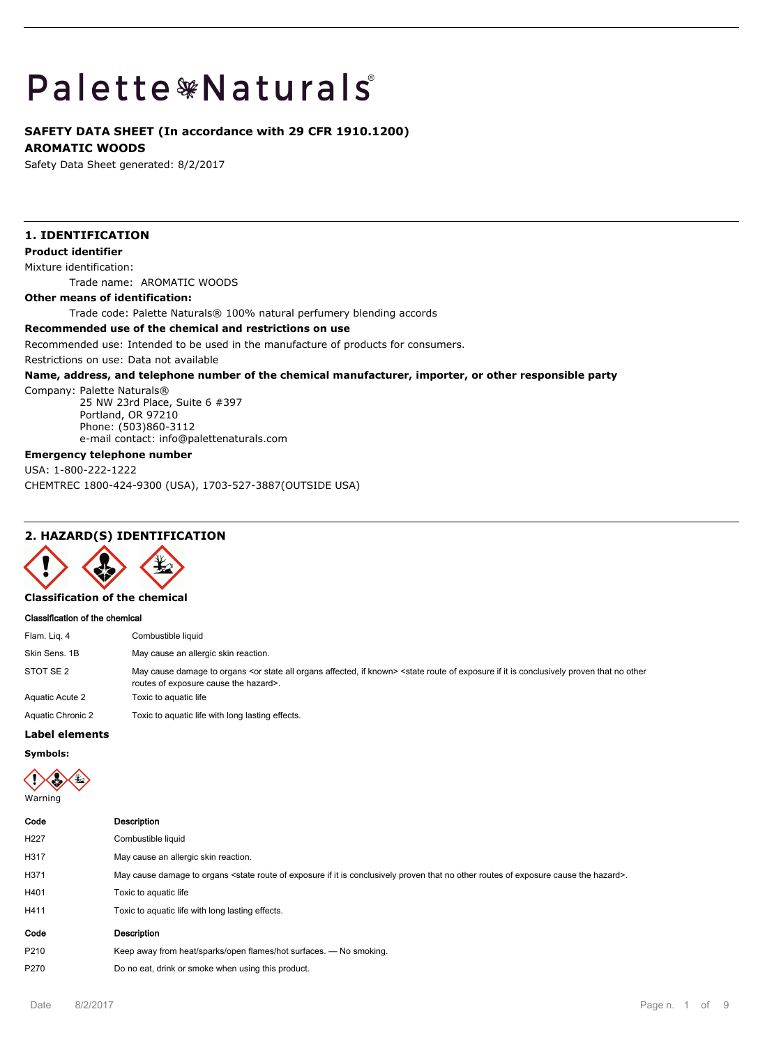# **Palette \*Naturals**

# **SAFETY DATA SHEET (In accordance with 29 CFR 1910.1200)**

**AROMATIC WOODS**

Safety Data Sheet generated: 8/2/2017

# **1. IDENTIFICATION**

## **Product identifier**

Mixture identification:

Trade name: AROMATIC WOODS

#### **Other means of identification:**

Trade code: Palette Naturals® 100% natural perfumery blending accords

## **Recommended use of the chemical and restrictions on use**

Recommended use: Intended to be used in the manufacture of products for consumers.

Restrictions on use: Data not available

#### **Name, address, and telephone number of the chemical manufacturer, importer, or other responsible party**

Company: Palette Naturals®

25 NW 23rd Place, Suite 6 #397 Portland, OR 97210 Phone: (503)860-3112 e-mail contact: info@palettenaturals.com

## **Emergency telephone number**

USA: 1-800-222-1222 CHEMTREC 1800-424-9300 (USA), 1703-527-3887(OUTSIDE USA)

# **2. HAZARD(S) IDENTIFICATION**



# **Classification of the chemical**

#### **Classification of the chemical**

| Flam. Lig. 4      | Combustible liquid                                                                                                                                                                                                                                  |
|-------------------|-----------------------------------------------------------------------------------------------------------------------------------------------------------------------------------------------------------------------------------------------------|
| Skin Sens, 1B     | May cause an allergic skin reaction.                                                                                                                                                                                                                |
| STOT SE 2         | May cause damage to organs <or affected,="" all="" if="" known="" organs="" state=""> <state conclusively="" exposure="" if="" is="" it="" no="" of="" other<br="" proven="" route="" that="">routes of exposure cause the hazard&gt;.</state></or> |
| Aquatic Acute 2   | Toxic to aguatic life                                                                                                                                                                                                                               |
| Aquatic Chronic 2 | Toxic to aquatic life with long lasting effects.                                                                                                                                                                                                    |

# **Label elements**

**Symbols:**



| <b>Description</b>                                                                                                                                                            |
|-------------------------------------------------------------------------------------------------------------------------------------------------------------------------------|
| Combustible liquid                                                                                                                                                            |
| May cause an allergic skin reaction.                                                                                                                                          |
| May cause damage to organs <state cause="" conclusively="" exposure="" hazard="" if="" is="" it="" no="" of="" other="" proven="" route="" routes="" that="" the="">.</state> |
| Toxic to aquatic life                                                                                                                                                         |
| Toxic to aquatic life with long lasting effects.                                                                                                                              |
| <b>Description</b>                                                                                                                                                            |
| Keep away from heat/sparks/open flames/hot surfaces. — No smoking.                                                                                                            |
| Do no eat, drink or smoke when using this product.                                                                                                                            |
|                                                                                                                                                                               |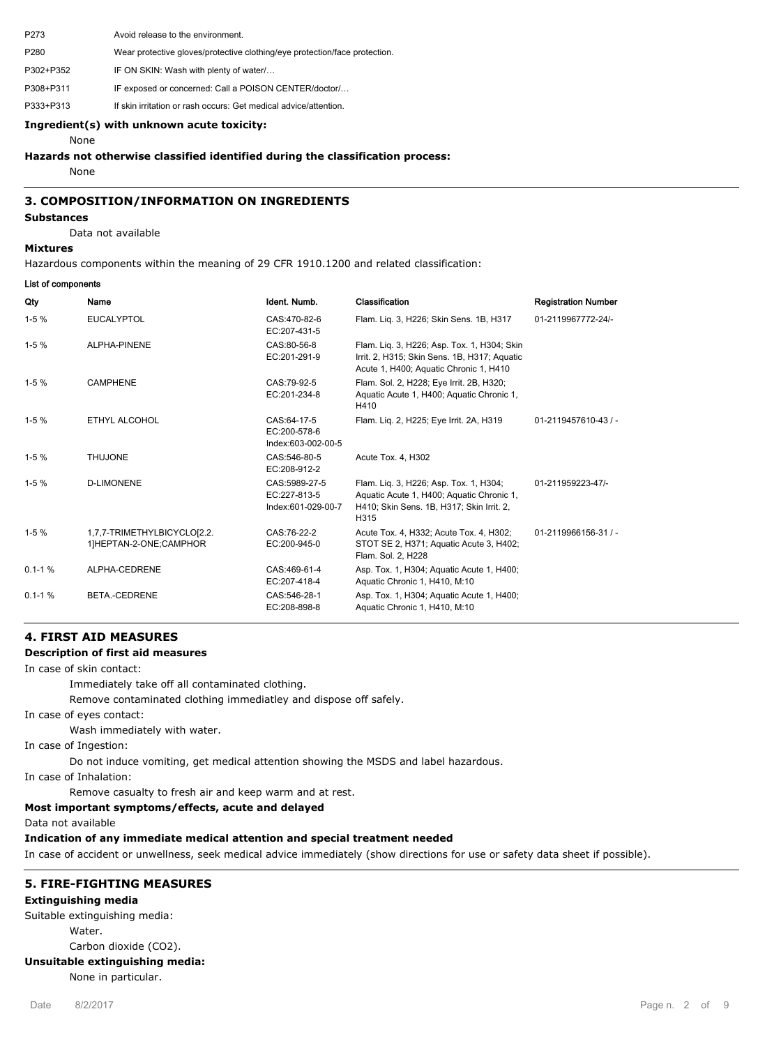P273 Avoid release to the environment. P280 Wear protective gloves/protective clothing/eye protection/face protection. P302+P352 IF ON SKIN: Wash with plenty of water/… P308+P311 IF exposed or concerned: Call a POISON CENTER/doctor/... P333+P313 If skin irritation or rash occurs: Get medical advice/attention.

## **Ingredient(s) with unknown acute toxicity:**

None

## **Hazards not otherwise classified identified during the classification process:**

None

## **3. COMPOSITION/INFORMATION ON INGREDIENTS**

## **Substances** Data not available

#### **Mixtures**

Hazardous components within the meaning of 29 CFR 1910.1200 and related classification:

#### **List of components**

| Qty        | Name                                                  | Ident. Numb.                                        | Classification                                                                                                                           | <b>Registration Number</b> |
|------------|-------------------------------------------------------|-----------------------------------------------------|------------------------------------------------------------------------------------------------------------------------------------------|----------------------------|
| $1-5%$     | <b>EUCALYPTOL</b>                                     | CAS:470-82-6<br>EC:207-431-5                        | Flam. Liq. 3, H226; Skin Sens. 1B, H317                                                                                                  | 01-2119967772-24/-         |
| $1-5%$     | ALPHA-PINENE                                          | CAS:80-56-8<br>EC:201-291-9                         | Flam. Liq. 3, H226; Asp. Tox. 1, H304; Skin<br>Irrit. 2, H315; Skin Sens. 1B, H317; Aquatic<br>Acute 1, H400; Aquatic Chronic 1, H410    |                            |
| $1-5%$     | <b>CAMPHENE</b>                                       | CAS:79-92-5<br>EC:201-234-8                         | Flam. Sol. 2, H228; Eye Irrit. 2B, H320;<br>Aquatic Acute 1, H400; Aquatic Chronic 1,<br>H410                                            |                            |
| $1-5%$     | ETHYL ALCOHOL                                         | CAS:64-17-5<br>EC:200-578-6<br>Index:603-002-00-5   | Flam. Lig. 2, H225; Eye Irrit. 2A, H319                                                                                                  | 01-2119457610-43 / -       |
| $1 - 5%$   | <b>THUJONE</b>                                        | CAS:546-80-5<br>EC:208-912-2                        | Acute Tox. 4. H302                                                                                                                       |                            |
| $1-5%$     | <b>D-LIMONENE</b>                                     | CAS:5989-27-5<br>EC:227-813-5<br>Index:601-029-00-7 | Flam. Lig. 3, H226; Asp. Tox. 1, H304;<br>Aquatic Acute 1, H400; Aquatic Chronic 1,<br>H410; Skin Sens. 1B, H317; Skin Irrit. 2,<br>H315 | 01-211959223-47/-          |
| $1-5%$     | 1,7,7-TRIMETHYLBICYCLO[2.2.<br>1]HEPTAN-2-ONE;CAMPHOR | CAS:76-22-2<br>EC:200-945-0                         | Acute Tox. 4, H332; Acute Tox. 4, H302;<br>STOT SE 2, H371; Aquatic Acute 3, H402;<br>Flam. Sol. 2, H228                                 | 01-2119966156-31 / -       |
| $0.1 - 1%$ | ALPHA-CEDRENE                                         | CAS:469-61-4<br>EC:207-418-4                        | Asp. Tox. 1, H304; Aquatic Acute 1, H400;<br>Aquatic Chronic 1, H410, M:10                                                               |                            |
| $0.1 - 1%$ | BETA.-CEDRENE                                         | CAS:546-28-1<br>EC:208-898-8                        | Asp. Tox. 1, H304; Aquatic Acute 1, H400;<br>Aquatic Chronic 1, H410, M:10                                                               |                            |

## **4. FIRST AID MEASURES**

#### **Description of first aid measures**

In case of skin contact:

Immediately take off all contaminated clothing.

Remove contaminated clothing immediatley and dispose off safely.

In case of eyes contact:

Wash immediately with water.

In case of Ingestion:

Do not induce vomiting, get medical attention showing the MSDS and label hazardous.

In case of Inhalation:

Remove casualty to fresh air and keep warm and at rest.

## **Most important symptoms/effects, acute and delayed**

Data not available

## **Indication of any immediate medical attention and special treatment needed**

In case of accident or unwellness, seek medical advice immediately (show directions for use or safety data sheet if possible).

## **5. FIRE-FIGHTING MEASURES**

#### **Extinguishing media**

Suitable extinguishing media:

Water.

Carbon dioxide (CO2).

## **Unsuitable extinguishing media:**

None in particular.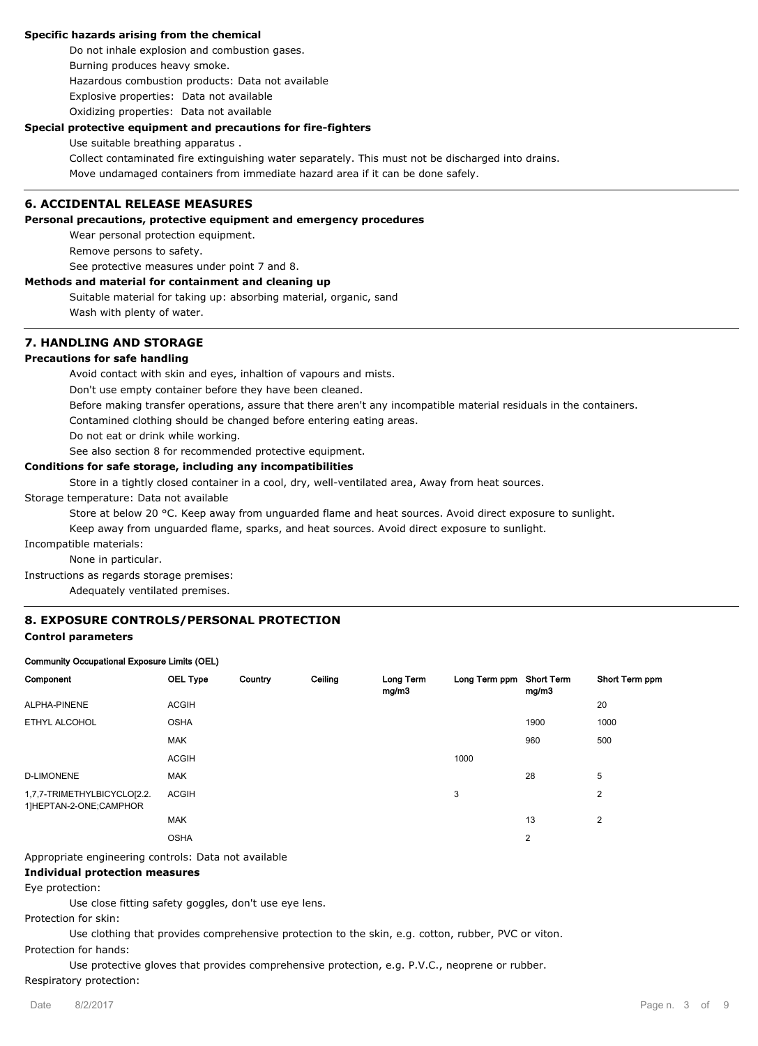#### **Specific hazards arising from the chemical**

Do not inhale explosion and combustion gases. Burning produces heavy smoke. Hazardous combustion products: Data not available Explosive properties: Data not available Oxidizing properties: Data not available

#### **Special protective equipment and precautions for fire-fighters**

Use suitable breathing apparatus .

Collect contaminated fire extinguishing water separately. This must not be discharged into drains. Move undamaged containers from immediate hazard area if it can be done safely.

## **6. ACCIDENTAL RELEASE MEASURES**

#### **Personal precautions, protective equipment and emergency procedures**

Wear personal protection equipment.

Remove persons to safety.

See protective measures under point 7 and 8.

## **Methods and material for containment and cleaning up**

Suitable material for taking up: absorbing material, organic, sand Wash with plenty of water.

## **7. HANDLING AND STORAGE**

## **Precautions for safe handling**

Avoid contact with skin and eyes, inhaltion of vapours and mists.

Don't use empty container before they have been cleaned.

Before making transfer operations, assure that there aren't any incompatible material residuals in the containers.

Contamined clothing should be changed before entering eating areas.

Do not eat or drink while working.

See also section 8 for recommended protective equipment.

## **Conditions for safe storage, including any incompatibilities**

Store in a tightly closed container in a cool, dry, well-ventilated area, Away from heat sources.

Storage temperature: Data not available

Store at below 20 °C. Keep away from unguarded flame and heat sources. Avoid direct exposure to sunlight.

Keep away from unguarded flame, sparks, and heat sources. Avoid direct exposure to sunlight.

Incompatible materials:

None in particular.

Instructions as regards storage premises:

Adequately ventilated premises.

## **8. EXPOSURE CONTROLS/PERSONAL PROTECTION**

#### **Control parameters**

#### **Community Occupational Exposure Limits (OEL)**

| Component                                             | <b>OEL Type</b> | Country | Ceiling | Long Term<br>mg/m3 | Long Term ppm Short Term | mg/m3          | Short Term ppm |
|-------------------------------------------------------|-----------------|---------|---------|--------------------|--------------------------|----------------|----------------|
| ALPHA-PINENE                                          | <b>ACGIH</b>    |         |         |                    |                          |                | 20             |
| ETHYL ALCOHOL                                         | <b>OSHA</b>     |         |         |                    |                          | 1900           | 1000           |
|                                                       | <b>MAK</b>      |         |         |                    |                          | 960            | 500            |
|                                                       | <b>ACGIH</b>    |         |         |                    | 1000                     |                |                |
| <b>D-LIMONENE</b>                                     | <b>MAK</b>      |         |         |                    |                          | 28             | 5              |
| 1,7,7-TRIMETHYLBICYCLO[2.2.<br>1]HEPTAN-2-ONE;CAMPHOR | <b>ACGIH</b>    |         |         |                    | 3                        |                | 2              |
|                                                       | <b>MAK</b>      |         |         |                    |                          | 13             | 2              |
|                                                       | <b>OSHA</b>     |         |         |                    |                          | $\overline{2}$ |                |

Appropriate engineering controls: Data not available

#### **Individual protection measures**

Eye protection:

Use close fitting safety goggles, don't use eye lens.

Protection for skin:

Use clothing that provides comprehensive protection to the skin, e.g. cotton, rubber, PVC or viton. Protection for hands:

Use protective gloves that provides comprehensive protection, e.g. P.V.C., neoprene or rubber.

## Respiratory protection: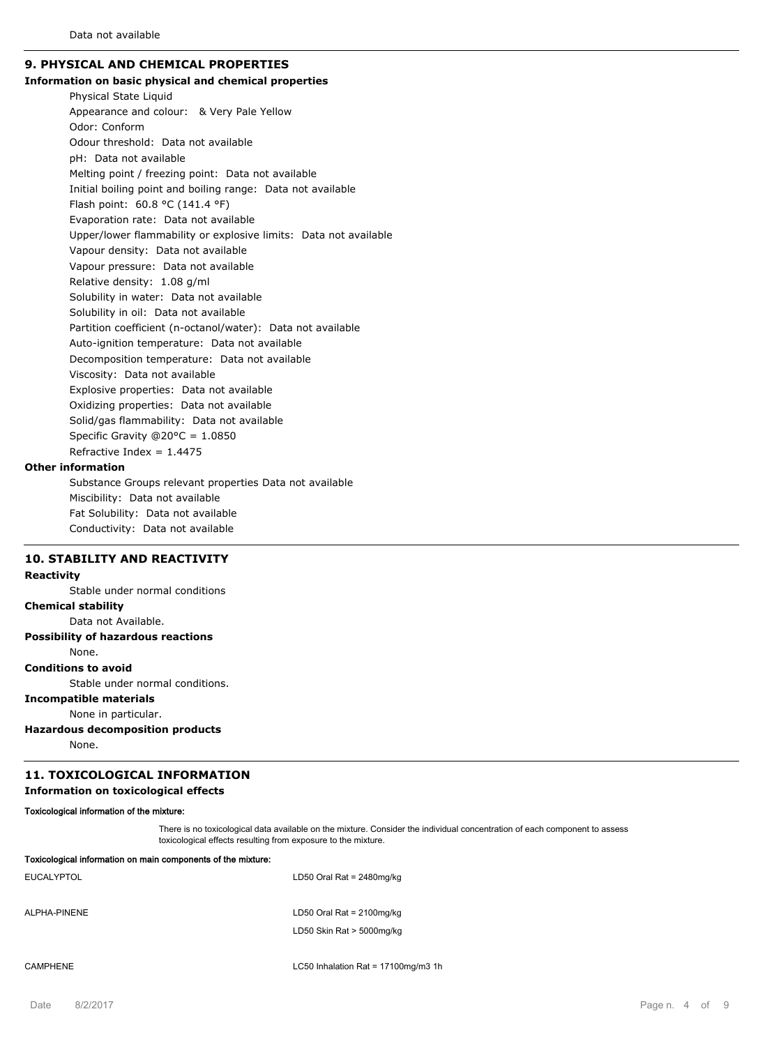# **9. PHYSICAL AND CHEMICAL PROPERTIES**

#### **Information on basic physical and chemical properties**

Physical State Liquid Appearance and colour: & Very Pale Yellow Odor: Conform Odour threshold: Data not available pH: Data not available Melting point / freezing point: Data not available Initial boiling point and boiling range: Data not available Flash point: 60.8 °C (141.4 °F) Evaporation rate: Data not available Upper/lower flammability or explosive limits: Data not available Vapour density: Data not available Vapour pressure: Data not available Relative density: 1.08 g/ml Solubility in water: Data not available Solubility in oil: Data not available Partition coefficient (n-octanol/water): Data not available Auto-ignition temperature: Data not available Decomposition temperature: Data not available Viscosity: Data not available Explosive properties: Data not available Oxidizing properties: Data not available Solid/gas flammability: Data not available Specific Gravity @20°C = 1.0850 Refractive Index =  $1.4475$ 

## **Other information**

Substance Groups relevant properties Data not available Miscibility: Data not available Fat Solubility: Data not available Conductivity: Data not available

# **10. STABILITY AND REACTIVITY**

## **Reactivity**

Stable under normal conditions **Chemical stability** Data not Available.

#### **Possibility of hazardous reactions**

None.

# **Conditions to avoid**

Stable under normal conditions.

# **Incompatible materials**

None in particular.

## **Hazardous decomposition products**

None.

## **11. TOXICOLOGICAL INFORMATION**

#### **Information on toxicological effects**

## **Toxicological information of the mixture:**

There is no toxicological data available on the mixture. Consider the individual concentration of each component to assess toxicological effects resulting from exposure to the mixture.

| Toxicological information on main components of the mixture: |                              |
|--------------------------------------------------------------|------------------------------|
| EUCALYPTOL                                                   | LD50 Oral Rat = $2480$ mg/kg |
|                                                              |                              |
| ALPHA-PINENE                                                 | LD50 Oral Rat = $2100$ mg/kg |
|                                                              | LD50 Skin Rat > 5000mg/kg    |
|                                                              |                              |
|                                                              |                              |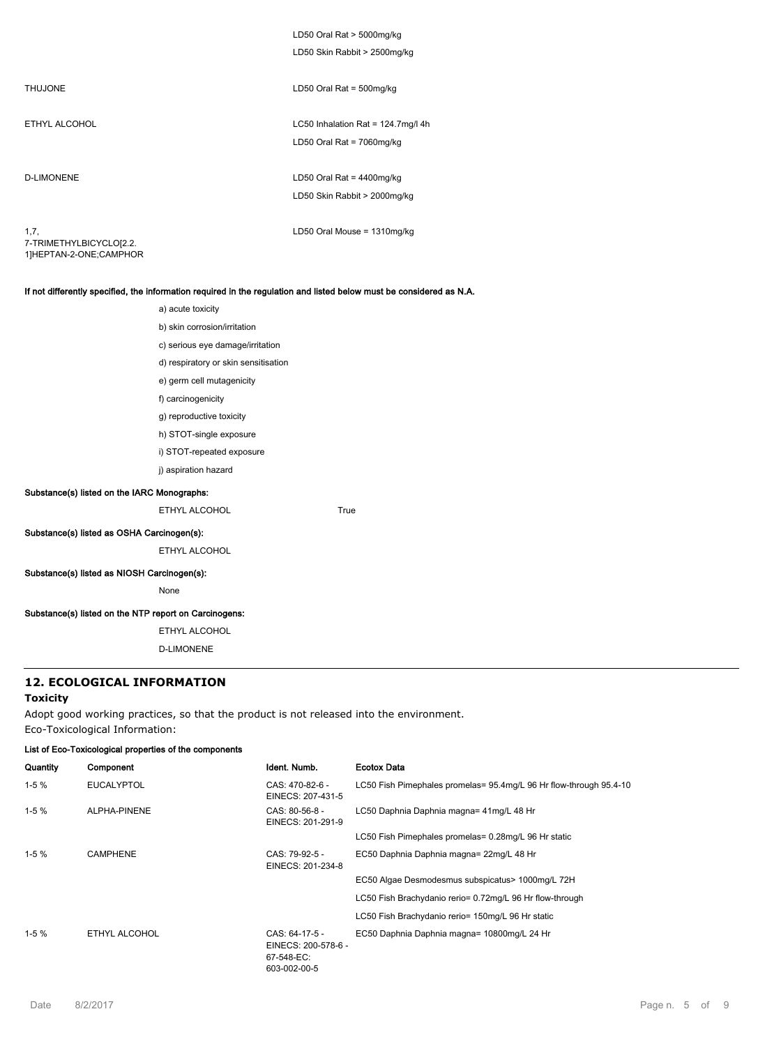|                                                           | LD50 Oral Rat > 5000mg/kg<br>LD50 Skin Rabbit > 2500mg/kg       |
|-----------------------------------------------------------|-----------------------------------------------------------------|
| <b>THUJONE</b>                                            | LD50 Oral Rat = $500$ mg/kg                                     |
| ETHYL ALCOHOL                                             | LC50 Inhalation Rat = 124.7mg/l 4h<br>LD50 Oral Rat = 7060mg/kg |
| <b>D-LIMONENE</b>                                         | LD50 Oral Rat = 4400mg/kg<br>LD50 Skin Rabbit > 2000mg/kg       |
| 1,7,<br>7-TRIMETHYLBICYCLO[2.2.<br>1]HEPTAN-2-ONE;CAMPHOR | LD50 Oral Mouse = 1310mg/kg                                     |

## **If not differently specified, the information required in the regulation and listed below must be considered as N.A.**

|                                                       | a) acute toxicity                    |      |
|-------------------------------------------------------|--------------------------------------|------|
|                                                       | b) skin corrosion/irritation         |      |
|                                                       | c) serious eye damage/irritation     |      |
|                                                       | d) respiratory or skin sensitisation |      |
|                                                       | e) germ cell mutagenicity            |      |
|                                                       | f) carcinogenicity                   |      |
|                                                       | g) reproductive toxicity             |      |
|                                                       | h) STOT-single exposure              |      |
|                                                       | i) STOT-repeated exposure            |      |
|                                                       | j) aspiration hazard                 |      |
| Substance(s) listed on the IARC Monographs:           |                                      |      |
|                                                       | ETHYL ALCOHOL                        | True |
| Substance(s) listed as OSHA Carcinogen(s):            |                                      |      |
|                                                       | ETHYL ALCOHOL                        |      |
| Substance(s) listed as NIOSH Carcinogen(s):           |                                      |      |
|                                                       | None                                 |      |
| Substance(s) listed on the NTP report on Carcinogens: |                                      |      |

ETHYL ALCOHOL D-LIMONENE

# **12. ECOLOGICAL INFORMATION**

## **Toxicity**

Adopt good working practices, so that the product is not released into the environment. Eco-Toxicological Information:

#### **List of Eco-Toxicological properties of the components**

| Quantity | Component         | Ident. Numb.                                                        | <b>Ecotox Data</b>                                                 |
|----------|-------------------|---------------------------------------------------------------------|--------------------------------------------------------------------|
| $1-5%$   | <b>EUCALYPTOL</b> | CAS: 470-82-6 -<br>EINECS: 207-431-5                                | LC50 Fish Pimephales promelas= 95.4mg/L 96 Hr flow-through 95.4-10 |
| $1-5%$   | ALPHA-PINENE      | CAS: 80-56-8 -<br>EINECS: 201-291-9                                 | LC50 Daphnia Daphnia magna= 41mg/L 48 Hr                           |
|          |                   |                                                                     | LC50 Fish Pimephales promelas= 0.28mg/L 96 Hr static               |
| $1-5%$   | <b>CAMPHENE</b>   | CAS: 79-92-5 -<br>EINECS: 201-234-8                                 | EC50 Daphnia Daphnia magna= 22mg/L 48 Hr                           |
|          |                   |                                                                     | EC50 Algae Desmodesmus subspicatus> 1000mg/L 72H                   |
|          |                   |                                                                     | LC50 Fish Brachydanio rerio= 0.72mg/L 96 Hr flow-through           |
|          |                   |                                                                     | LC50 Fish Brachydanio rerio= 150mg/L 96 Hr static                  |
| $1-5%$   | ETHYL ALCOHOL     | CAS: 64-17-5 -<br>EINECS: 200-578-6 -<br>67-548-EC:<br>603-002-00-5 | EC50 Daphnia Daphnia magna= 10800mg/L 24 Hr                        |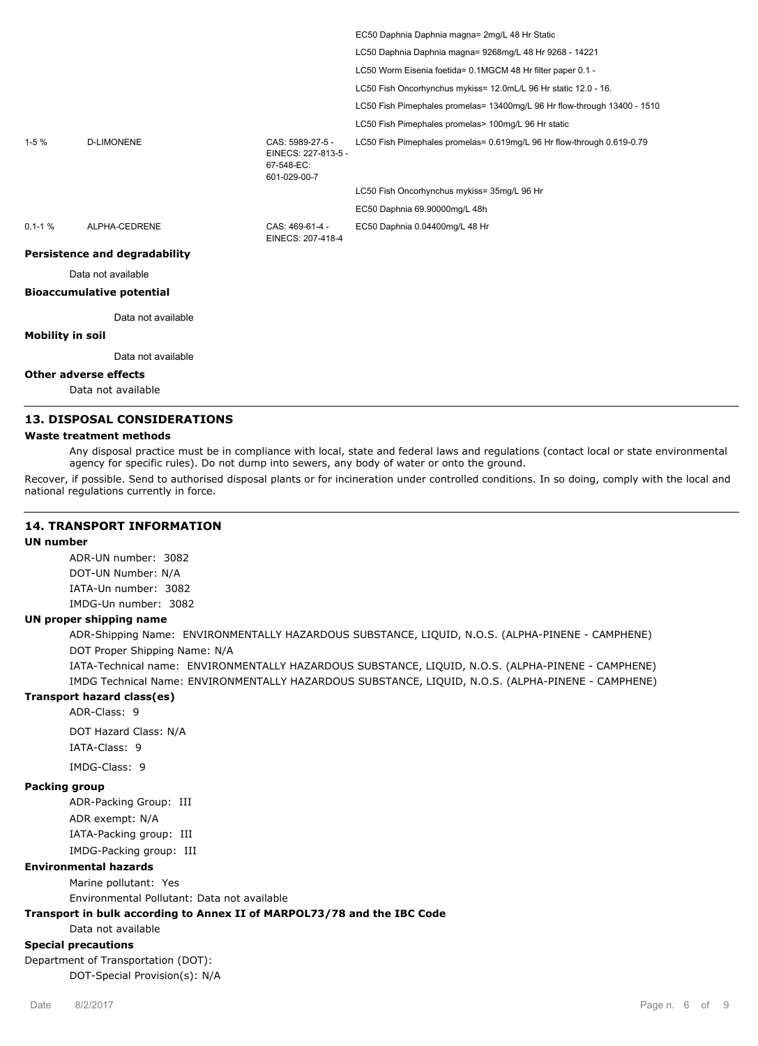|            |                                      |                                                                       | EC50 Daphnia Daphnia magna= 2mg/L 48 Hr Static                           |
|------------|--------------------------------------|-----------------------------------------------------------------------|--------------------------------------------------------------------------|
|            |                                      |                                                                       | LC50 Daphnia Daphnia magna= 9268mg/L 48 Hr 9268 - 14221                  |
|            |                                      |                                                                       | LC50 Worm Eisenia foetida= 0.1MGCM 48 Hr filter paper 0.1 -              |
|            |                                      |                                                                       | LC50 Fish Oncorhynchus mykiss= 12.0mL/L 96 Hr static 12.0 - 16.          |
|            |                                      |                                                                       | LC50 Fish Pimephales promelas= 13400mg/L 96 Hr flow-through 13400 - 1510 |
|            |                                      |                                                                       | LC50 Fish Pimephales promelas> 100mg/L 96 Hr static                      |
| $1-5%$     | <b>D-LIMONENE</b>                    | CAS: 5989-27-5 -<br>EINECS: 227-813-5 -<br>67-548-EC:<br>601-029-00-7 | LC50 Fish Pimephales promelas= 0.619mg/L 96 Hr flow-through 0.619-0.79   |
|            |                                      |                                                                       | LC50 Fish Oncorhynchus mykiss= 35mg/L 96 Hr                              |
|            |                                      |                                                                       | EC50 Daphnia 69.90000mg/L 48h                                            |
| $0.1 - 1%$ | ALPHA-CEDRENE                        | CAS: 469-61-4 -<br>EINECS: 207-418-4                                  | EC50 Daphnia 0.04400mg/L 48 Hr                                           |
|            | <b>Persistence and degradability</b> |                                                                       |                                                                          |
|            | Data not available                   |                                                                       |                                                                          |
|            |                                      |                                                                       |                                                                          |

## **Bioaccumulative potential**

Data not available

## **Mobility in soil**

Data not available

## **Other adverse effects**

Data not available

# **13. DISPOSAL CONSIDERATIONS**

#### **Waste treatment methods**

Any disposal practice must be in compliance with local, state and federal laws and regulations (contact local or state environmental agency for specific rules). Do not dump into sewers, any body of water or onto the ground.

Recover, if possible. Send to authorised disposal plants or for incineration under controlled conditions. In so doing, comply with the local and national regulations currently in force.

## **14. TRANSPORT INFORMATION**

# **UN number**

ADR-UN number: 3082 DOT-UN Number: N/A IATA-Un number: 3082 IMDG-Un number: 3082

#### **UN proper shipping name**

ADR-Shipping Name: ENVIRONMENTALLY HAZARDOUS SUBSTANCE, LIQUID, N.O.S. (ALPHA-PINENE - CAMPHENE) DOT Proper Shipping Name: N/A

IATA-Technical name: ENVIRONMENTALLY HAZARDOUS SUBSTANCE, LIQUID, N.O.S. (ALPHA-PINENE - CAMPHENE) IMDG Technical Name: ENVIRONMENTALLY HAZARDOUS SUBSTANCE, LIQUID, N.O.S. (ALPHA-PINENE - CAMPHENE)

## **Transport hazard class(es)**

ADR-Class: 9 DOT Hazard Class: N/A IATA-Class: 9

IMDG-Class: 9

#### **Packing group**

ADR-Packing Group: III ADR exempt: N/A IATA-Packing group: III IMDG-Packing group: III

#### **Environmental hazards**

Marine pollutant: Yes

Environmental Pollutant: Data not available

#### **Transport in bulk according to Annex II of MARPOL73/78 and the IBC Code**

Data not available

## **Special precautions**

Department of Transportation (DOT): DOT-Special Provision(s): N/A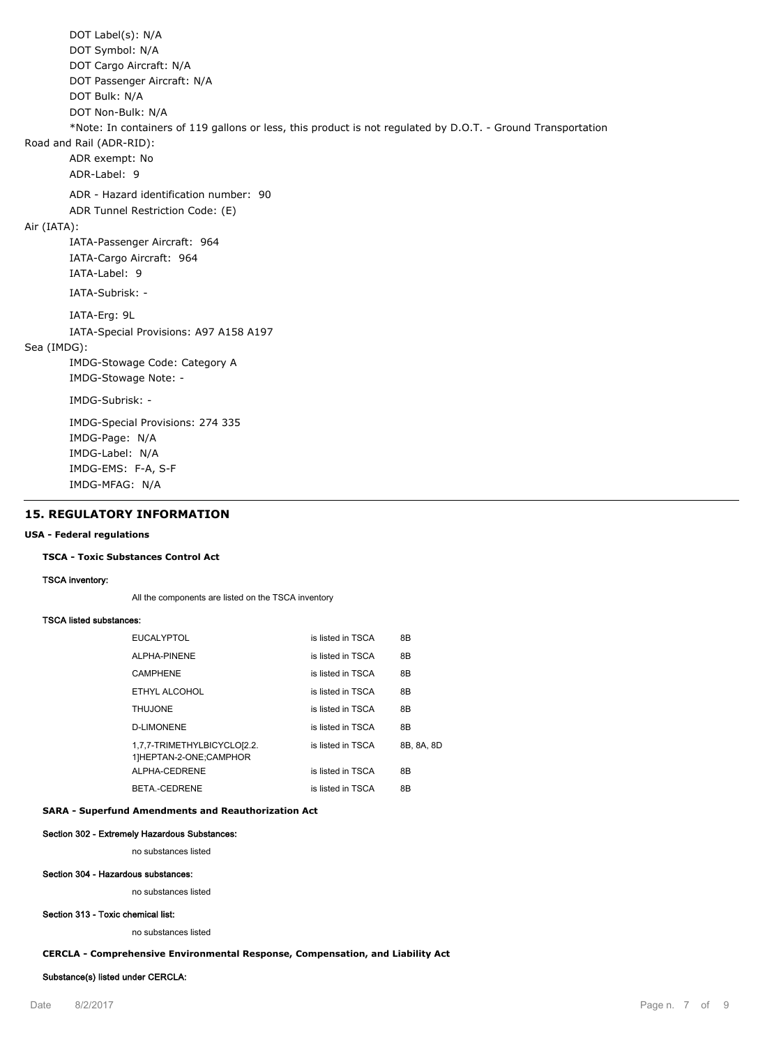DOT Label(s): N/A DOT Symbol: N/A DOT Cargo Aircraft: N/A DOT Passenger Aircraft: N/A DOT Bulk: N/A DOT Non-Bulk: N/A \*Note: In containers of 119 gallons or less, this product is not regulated by D.O.T. - Ground Transportation Road and Rail (ADR-RID): ADR exempt: No ADR-Label: 9 ADR - Hazard identification number: 90 ADR Tunnel Restriction Code: (E) Air (IATA): IATA-Passenger Aircraft: 964 IATA-Cargo Aircraft: 964 IATA-Label: 9 IATA-Subrisk: - IATA-Erg: 9L IATA-Special Provisions: A97 A158 A197 Sea (IMDG): IMDG-Stowage Code: Category A IMDG-Stowage Note: - IMDG-Subrisk: - IMDG-Special Provisions: 274 335 IMDG-Page: N/A IMDG-Label: N/A IMDG-EMS: F-A, S-F IMDG-MFAG: N/A

## **15. REGULATORY INFORMATION**

#### **USA - Federal regulations**

#### **TSCA - Toxic Substances Control Act**

**TSCA inventory:**

All the components are listed on the TSCA inventory

#### **TSCA listed substances:**

| <b>EUCALYPTOL</b>                                     | is listed in TSCA | 8B         |
|-------------------------------------------------------|-------------------|------------|
| ALPHA-PINENE                                          | is listed in TSCA | 8B         |
| CAMPHENE                                              | is listed in TSCA | 8B         |
| ETHYL ALCOHOL                                         | is listed in TSCA | 8B         |
| <b>THUJONE</b>                                        | is listed in TSCA | 8B         |
| <b>D-LIMONENE</b>                                     | is listed in TSCA | 8B         |
| 1,7,7-TRIMETHYLBICYCLO[2.2.<br>1]HEPTAN-2-ONE;CAMPHOR | is listed in TSCA | 8B, 8A, 8D |
| ALPHA-CEDRENE                                         | is listed in TSCA | 8B         |
| BETA - CEDRENE                                        | is listed in TSCA | 8B         |

#### **SARA - Superfund Amendments and Reauthorization Act**

#### **Section 302 - Extremely Hazardous Substances:**

no substances listed

#### **Section 304 - Hazardous substances:**

no substances listed

## **Section 313 - Toxic chemical list:**

no substances listed

#### **CERCLA - Comprehensive Environmental Response, Compensation, and Liability Act**

#### **Substance(s) listed under CERCLA:**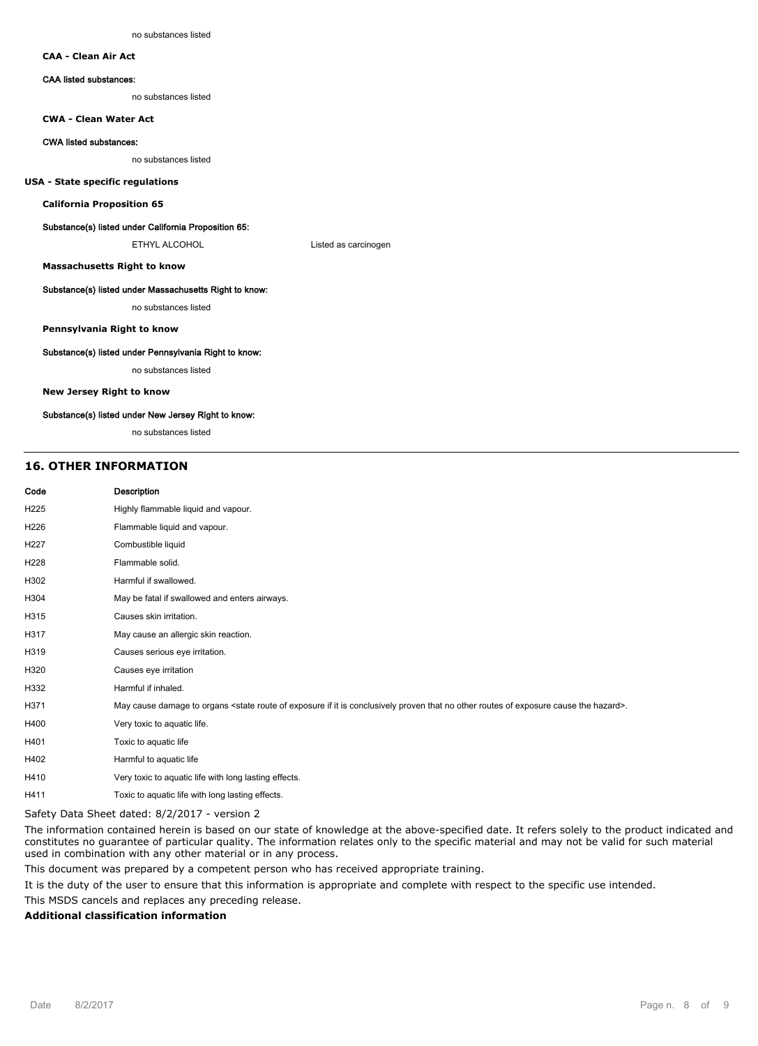## **CAA - Clean Air Act**

#### **CAA listed substances:**

no substances listed

#### **CWA - Clean Water Act**

#### **CWA listed substances:**

no substances listed

#### **USA - State specific regulations**

**California Proposition 65**

#### **Substance(s) listed under California Proposition 65:**

ETHYL ALCOHOL **Listed as carcinogen** 

**Massachusetts Right to know**

#### **Substance(s) listed under Massachusetts Right to know:**

no substances listed

#### **Pennsylvania Right to know**

#### **Substance(s) listed under Pennsylvania Right to know:**

no substances listed

#### **New Jersey Right to know**

#### **Substance(s) listed under New Jersey Right to know:**

no substances listed

#### **16. OTHER INFORMATION**

| Code | <b>Description</b>                                                                                                                                                            |
|------|-------------------------------------------------------------------------------------------------------------------------------------------------------------------------------|
| H225 | Highly flammable liquid and vapour.                                                                                                                                           |
| H226 | Flammable liquid and vapour.                                                                                                                                                  |
| H227 | Combustible liquid                                                                                                                                                            |
| H228 | Flammable solid.                                                                                                                                                              |
| H302 | Harmful if swallowed.                                                                                                                                                         |
| H304 | May be fatal if swallowed and enters airways.                                                                                                                                 |
| H315 | Causes skin irritation.                                                                                                                                                       |
| H317 | May cause an allergic skin reaction.                                                                                                                                          |
| H319 | Causes serious eye irritation.                                                                                                                                                |
| H320 | Causes eye irritation                                                                                                                                                         |
| H332 | Harmful if inhaled.                                                                                                                                                           |
| H371 | May cause damage to organs <state cause="" conclusively="" exposure="" hazard="" if="" is="" it="" no="" of="" other="" proven="" route="" routes="" that="" the="">.</state> |
| H400 | Very toxic to aquatic life.                                                                                                                                                   |
| H401 | Toxic to aquatic life                                                                                                                                                         |
| H402 | Harmful to aquatic life                                                                                                                                                       |
| H410 | Very toxic to aquatic life with long lasting effects.                                                                                                                         |
|      |                                                                                                                                                                               |

H411 Toxic to aquatic life with long lasting effects.

Safety Data Sheet dated: 8/2/2017 - version 2

The information contained herein is based on our state of knowledge at the above-specified date. It refers solely to the product indicated and constitutes no guarantee of particular quality. The information relates only to the specific material and may not be valid for such material used in combination with any other material or in any process.

This document was prepared by a competent person who has received appropriate training.

It is the duty of the user to ensure that this information is appropriate and complete with respect to the specific use intended.

This MSDS cancels and replaces any preceding release.

#### **Additional classification information**